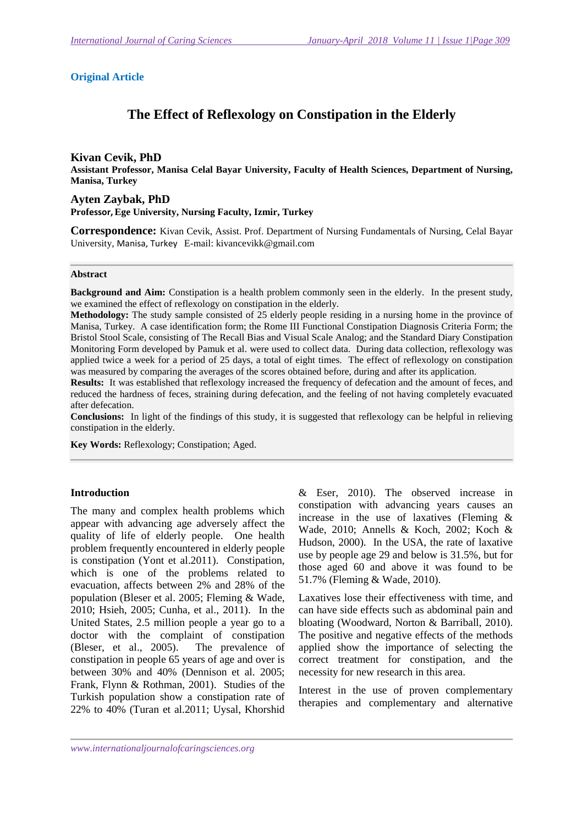# **Original Article**

# **The Effect of Reflexology on Constipation in the Elderly**

#### **Kivan Cevik, PhD**

**Assistant Professor, Manisa Celal Bayar University, Faculty of Health Sciences, Department of Nursing, Manisa, Turkey**

#### **Ayten Zaybak, PhD**

**Professor,Ege University, Nursing Faculty, Izmir, Turkey** 

**Correspondence:** Kivan Cevik, Assist. Prof. Department of Nursing Fundamentals of Nursing, Celal Bayar University, Manisa, Turkey E-mail: kivancevikk@gmail.com

#### **Abstract**

**Background and Aim:** Constipation is a health problem commonly seen in the elderly. In the present study, we examined the effect of reflexology on constipation in the elderly.

**Methodology:** The study sample consisted of 25 elderly people residing in a nursing home in the province of Manisa, Turkey. A case identification form; the Rome III Functional Constipation Diagnosis Criteria Form; the Bristol Stool Scale, consisting of The Recall Bias and Visual Scale Analog; and the Standard Diary Constipation Monitoring Form developed by Pamuk et al. were used to collect data. During data collection, reflexology was applied twice a week for a period of 25 days, a total of eight times. The effect of reflexology on constipation was measured by comparing the averages of the scores obtained before, during and after its application.

**Results:** It was established that reflexology increased the frequency of defecation and the amount of feces, and reduced the hardness of feces, straining during defecation, and the feeling of not having completely evacuated after defecation.

**Conclusions:** In light of the findings of this study, it is suggested that reflexology can be helpful in relieving constipation in the elderly.

**Key Words:** Reflexology; Constipation; Aged.

#### **Introduction**

The many and complex health problems which appear with advancing age adversely affect the quality of life of elderly people. One health problem frequently encountered in elderly people is constipation (Yont et al.2011). Constipation, which is one of the problems related to evacuation, affects between 2% and 28% of the population (Bleser et al. 2005; Fleming & Wade, 2010; Hsieh, 2005; Cunha, et al., 2011). In the United States, 2.5 million people a year go to a doctor with the complaint of constipation (Bleser, et al., 2005). The prevalence of constipation in people 65 years of age and over is between 30% and 40% (Dennison et al. 2005; Frank, Flynn & Rothman, 2001). Studies of the Turkish population show a constipation rate of 22% to 40% (Turan et al.2011; Uysal, Khorshid

& Eser, 2010). The observed increase in constipation with advancing years causes an increase in the use of laxatives (Fleming & Wade, 2010; Annells & Koch, 2002; Koch & Hudson, 2000). In the USA, the rate of laxative use by people age 29 and below is 31.5%, but for those aged 60 and above it was found to be 51.7% (Fleming & Wade, 2010).

Laxatives lose their effectiveness with time, and can have side effects such as abdominal pain and bloating (Woodward, Norton & Barriball, 2010). The positive and negative effects of the methods applied show the importance of selecting the correct treatment for constipation, and the necessity for new research in this area.

Interest in the use of proven complementary therapies and complementary and alternative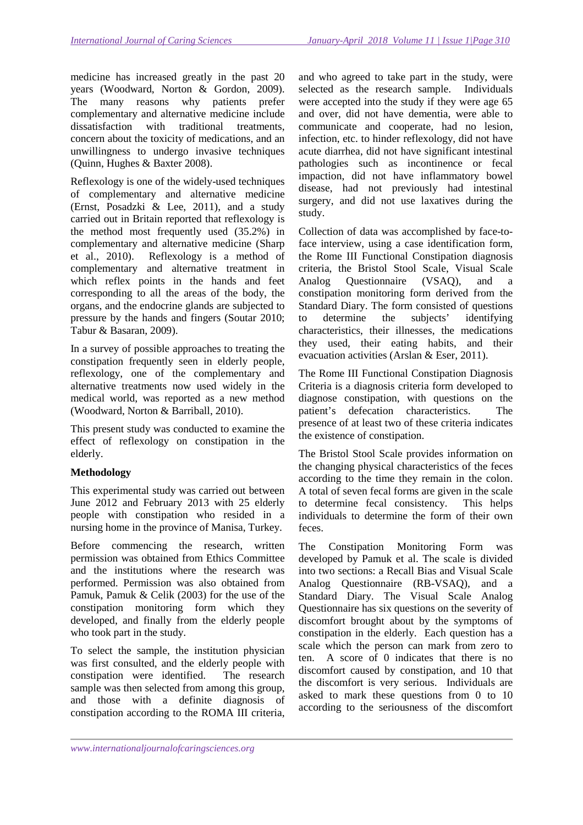medicine has increased greatly in the past 20 years (Woodward, Norton & Gordon, 2009). The many reasons why patients prefer complementary and alternative medicine include dissatisfaction with traditional treatments, concern about the toxicity of medications, and an unwillingness to undergo invasive techniques (Quinn, Hughes & Baxter 2008).

Reflexology is one of the widely-used techniques of complementary and alternative medicine (Ernst, Posadzki & Lee, 2011), and a study carried out in Britain reported that reflexology is the method most frequently used (35.2%) in complementary and alternative medicine (Sharp et al., 2010). Reflexology is a method of complementary and alternative treatment in which reflex points in the hands and feet corresponding to all the areas of the body, the organs, and the endocrine glands are subjected to pressure by the hands and fingers (Soutar 2010; Tabur & Basaran, 2009).

In a survey of possible approaches to treating the constipation frequently seen in elderly people, reflexology, one of the complementary and alternative treatments now used widely in the medical world, was reported as a new method (Woodward, Norton & Barriball, 2010).

This present study was conducted to examine the effect of reflexology on constipation in the elderly.

# **Methodology**

This experimental study was carried out between June 2012 and February 2013 with 25 elderly people with constipation who resided in a nursing home in the province of Manisa, Turkey.

Before commencing the research, written permission was obtained from Ethics Committee and the institutions where the research was performed. Permission was also obtained from Pamuk, Pamuk & Celik (2003) for the use of the constipation monitoring form which they developed, and finally from the elderly people who took part in the study.

To select the sample, the institution physician was first consulted, and the elderly people with constipation were identified. The research sample was then selected from among this group, and those with a definite diagnosis of constipation according to the ROMA III criteria, and who agreed to take part in the study, were selected as the research sample. Individuals were accepted into the study if they were age 65 and over, did not have dementia, were able to communicate and cooperate, had no lesion, infection, etc. to hinder reflexology, did not have acute diarrhea, did not have significant intestinal pathologies such as incontinence or fecal impaction, did not have inflammatory bowel disease, had not previously had intestinal surgery, and did not use laxatives during the study.

Collection of data was accomplished by face-toface interview, using a case identification form, the Rome III Functional Constipation diagnosis criteria, the Bristol Stool Scale, Visual Scale Analog Questionnaire (VSAQ), and a constipation monitoring form derived from the Standard Diary. The form consisted of questions to determine the subjects' identifying characteristics, their illnesses, the medications they used, their eating habits, and their evacuation activities (Arslan & Eser, 2011).

The Rome III Functional Constipation Diagnosis Criteria is a diagnosis criteria form developed to diagnose constipation, with questions on the patient's defecation characteristics. The presence of at least two of these criteria indicates the existence of constipation.

The Bristol Stool Scale provides information on the changing physical characteristics of the feces according to the time they remain in the colon. A total of seven fecal forms are given in the scale to determine fecal consistency. This helps individuals to determine the form of their own feces.

The Constipation Monitoring Form was developed by Pamuk et al. The scale is divided into two sections: a Recall Bias and Visual Scale Analog Questionnaire (RB-VSAQ), and a Standard Diary. The Visual Scale Analog Questionnaire has six questions on the severity of discomfort brought about by the symptoms of constipation in the elderly. Each question has a scale which the person can mark from zero to ten. A score of 0 indicates that there is no discomfort caused by constipation, and 10 that the discomfort is very serious. Individuals are asked to mark these questions from 0 to 10 according to the seriousness of the discomfort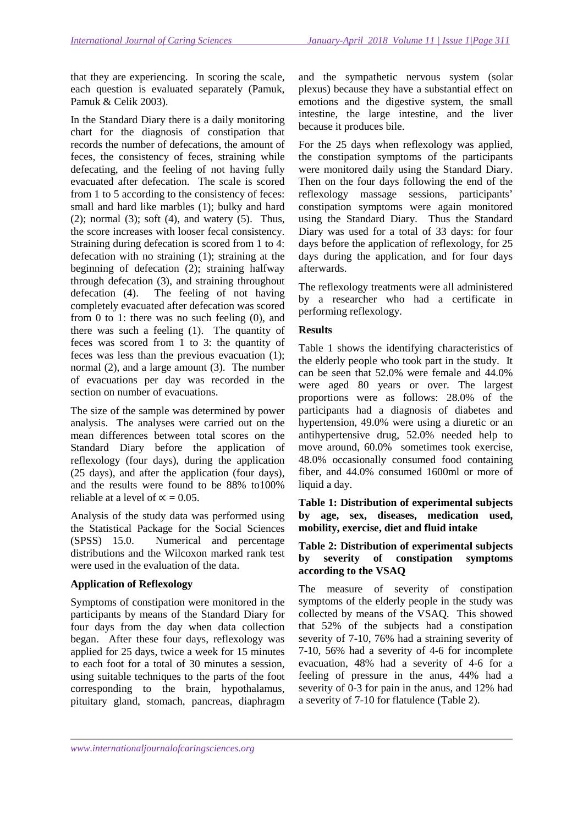that they are experiencing. In scoring the scale, each question is evaluated separately (Pamuk, Pamuk & Celik 2003).

In the Standard Diary there is a daily monitoring chart for the diagnosis of constipation that records the number of defecations, the amount of feces, the consistency of feces, straining while defecating, and the feeling of not having fully evacuated after defecation. The scale is scored from 1 to 5 according to the consistency of feces: small and hard like marbles (1); bulky and hard  $(2)$ ; normal  $(3)$ ; soft  $(4)$ , and watery  $(5)$ . Thus, the score increases with looser fecal consistency. Straining during defecation is scored from 1 to 4: defecation with no straining (1); straining at the beginning of defecation (2); straining halfway through defecation (3), and straining throughout defecation (4). The feeling of not having completely evacuated after defecation was scored from 0 to 1: there was no such feeling (0), and there was such a feeling (1). The quantity of feces was scored from 1 to 3: the quantity of feces was less than the previous evacuation (1); normal (2), and a large amount (3). The number of evacuations per day was recorded in the section on number of evacuations.

The size of the sample was determined by power analysis. The analyses were carried out on the mean differences between total scores on the Standard Diary before the application of reflexology (four days), during the application (25 days), and after the application (four days), and the results were found to be 88% to100% reliable at a level of  $\alpha = 0.05$ .

Analysis of the study data was performed using the Statistical Package for the Social Sciences (SPSS) 15.0. Numerical and percentage distributions and the Wilcoxon marked rank test were used in the evaluation of the data.

# **Application of Reflexology**

Symptoms of constipation were monitored in the participants by means of the Standard Diary for four days from the day when data collection began. After these four days, reflexology was applied for 25 days, twice a week for 15 minutes to each foot for a total of 30 minutes a session, using suitable techniques to the parts of the foot corresponding to the brain, hypothalamus, pituitary gland, stomach, pancreas, diaphragm

and the sympathetic nervous system (solar plexus) because they have a substantial effect on emotions and the digestive system, the small intestine, the large intestine, and the liver because it produces bile.

For the 25 days when reflexology was applied, the constipation symptoms of the participants were monitored daily using the Standard Diary. Then on the four days following the end of the reflexology massage sessions, participants' constipation symptoms were again monitored using the Standard Diary. Thus the Standard Diary was used for a total of 33 days: for four days before the application of reflexology, for 25 days during the application, and for four days afterwards.

The reflexology treatments were all administered by a researcher who had a certificate in performing reflexology.

# **Results**

Table 1 shows the identifying characteristics of the elderly people who took part in the study. It can be seen that 52.0% were female and 44.0% were aged 80 years or over. The largest proportions were as follows: 28.0% of the participants had a diagnosis of diabetes and hypertension, 49.0% were using a diuretic or an antihypertensive drug, 52.0% needed help to move around, 60.0% sometimes took exercise, 48.0% occasionally consumed food containing fiber, and 44.0% consumed 1600ml or more of liquid a day.

## **Table 1: Distribution of experimental subjects by age, sex, diseases, medication used, mobility, exercise, diet and fluid intake**

## **Table 2: Distribution of experimental subjects by severity of constipation symptoms according to the VSAQ**

The measure of severity of constipation symptoms of the elderly people in the study was collected by means of the VSAQ. This showed that 52% of the subjects had a constipation severity of 7-10, 76% had a straining severity of 7-10, 56% had a severity of 4-6 for incomplete evacuation, 48% had a severity of 4-6 for a feeling of pressure in the anus, 44% had a severity of 0-3 for pain in the anus, and 12% had a severity of 7-10 for flatulence (Table 2).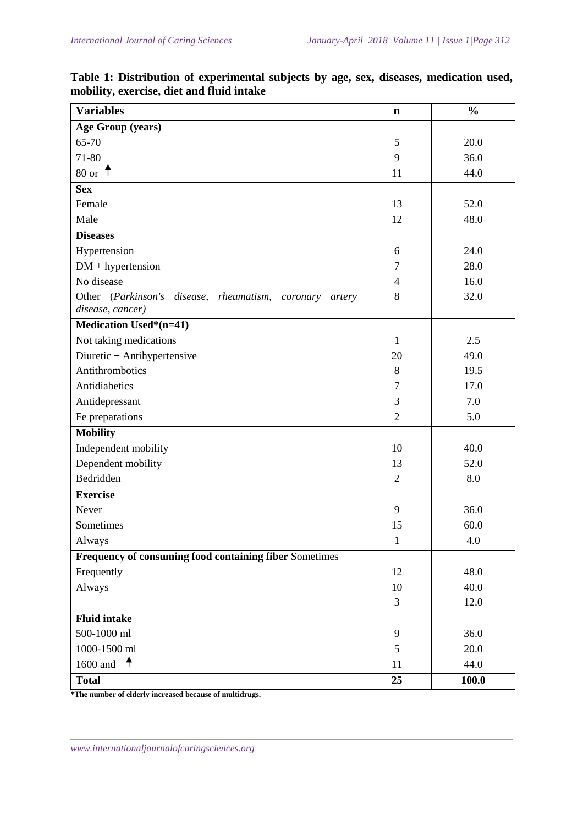| <b>Variables</b>                                                               | $\mathbf n$    | $\frac{0}{0}$ |
|--------------------------------------------------------------------------------|----------------|---------------|
| <b>Age Group (years)</b>                                                       |                |               |
| 65-70                                                                          | 5              | 20.0          |
| 71-80                                                                          | 9              | 36.0          |
| 80 or $\uparrow$                                                               | 11             | 44.0          |
| <b>Sex</b>                                                                     |                |               |
| Female                                                                         | 13             | 52.0          |
| Male                                                                           | 12             | 48.0          |
| <b>Diseases</b>                                                                |                |               |
| Hypertension                                                                   | 6              | 24.0          |
| $DM + hypertension$                                                            | 7              | 28.0          |
| No disease                                                                     | $\overline{4}$ | 16.0          |
| Other (Parkinson's disease, rheumatism, coronary<br>artery<br>disease, cancer) | 8              | 32.0          |
| <b>Medication Used*(n=41)</b>                                                  |                |               |
| Not taking medications                                                         | $\mathbf{1}$   | 2.5           |
| Diuretic + Antihypertensive                                                    | 20             | 49.0          |
| Antithrombotics                                                                | 8              | 19.5          |
| Antidiabetics                                                                  | $\tau$         | 17.0          |
| Antidepressant                                                                 | $\mathfrak{Z}$ | 7.0           |
| Fe preparations                                                                | $\overline{2}$ | 5.0           |
| <b>Mobility</b>                                                                |                |               |
| Independent mobility                                                           | 10             | 40.0          |
| Dependent mobility                                                             | 13             | 52.0          |
| Bedridden                                                                      | $\overline{2}$ | 8.0           |
| <b>Exercise</b>                                                                |                |               |
| Never                                                                          | 9              | 36.0          |
| Sometimes                                                                      | 15             | 60.0          |
| Always                                                                         | $\mathbf{1}$   | 4.0           |
| Frequency of consuming food containing fiber Sometimes                         |                |               |
| Frequently                                                                     | 12             | 48.0          |
| Always                                                                         | 10             | 40.0          |
|                                                                                | 3              | 12.0          |
| <b>Fluid intake</b>                                                            |                |               |
| 500-1000 ml                                                                    | 9              | 36.0          |
| 1000-1500 ml                                                                   | 5              | 20.0          |
| 1600 and $\uparrow$                                                            | 11             | 44.0          |
| <b>Total</b>                                                                   | 25             | 100.0         |

**Table 1: Distribution of experimental subjects by age, sex, diseases, medication used, mobility, exercise, diet and fluid intake** 

**\*The number of elderly increased because of multidrugs.**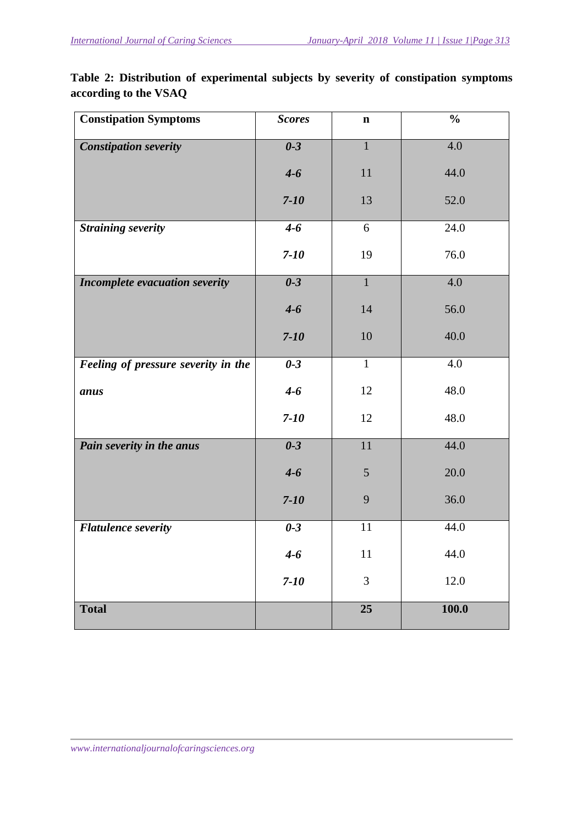**Table 2: Distribution of experimental subjects by severity of constipation symptoms according to the VSAQ** 

| <b>Constipation Symptoms</b>        | <b>Scores</b>                  | $\mathbf n$    | $\frac{0}{0}$ |
|-------------------------------------|--------------------------------|----------------|---------------|
| <b>Constipation severity</b>        | $0-3$                          | $\mathbf{1}$   | 4.0           |
|                                     | $4-6$                          | 11             | 44.0          |
|                                     | $7 - 10$                       | 13             | 52.0          |
| <b>Straining severity</b>           | $4 - 6$                        | 6              | 24.0          |
|                                     | $7 - 10$                       | 19             | 76.0          |
| Incomplete evacuation severity      | $\overline{\mathbf{0}\cdot 3}$ | $\overline{1}$ | 4.0           |
|                                     | $4 - 6$                        | 14             | 56.0          |
|                                     | $7 - 10$                       | 10             | 40.0          |
| Feeling of pressure severity in the | $0-3$                          | $\mathbf{1}$   | 4.0           |
| anus                                | $4 - 6$                        | 12             | 48.0          |
|                                     | $7 - 10$                       | 12             | 48.0          |
| Pain severity in the anus           | $\overline{\mathbf{0}\cdot 3}$ | 11             | 44.0          |
|                                     | $4 - 6$                        | $\mathfrak{S}$ | 20.0          |
|                                     | $7-10$                         | 9              | 36.0          |
| <b>Flatulence severity</b>          | $0-3$                          | 11             | 44.0          |
|                                     | $4 - 6$                        | 11             | 44.0          |
|                                     | $7 - 10$                       | 3              | 12.0          |
| <b>Total</b>                        |                                | 25             | 100.0         |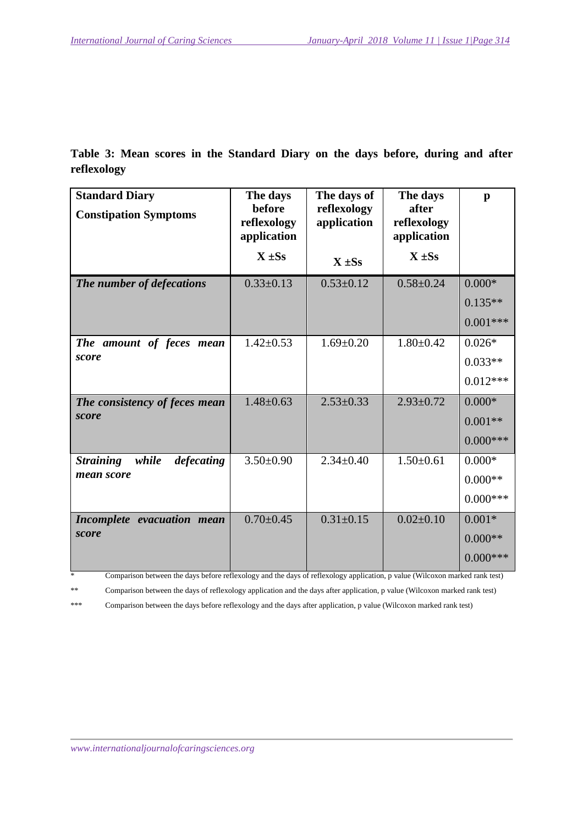**Table 3: Mean scores in the Standard Diary on the days before, during and after reflexology** 

| <b>Standard Diary</b><br><b>Constipation Symptoms</b> | The days<br>before<br>reflexology<br>application | The days of<br>reflexology<br>application | The days<br>after<br>reflexology<br>application | $\mathbf{p}$                         |
|-------------------------------------------------------|--------------------------------------------------|-------------------------------------------|-------------------------------------------------|--------------------------------------|
|                                                       | $\overline{X}$ ±Ss                               | $\overline{X} \pm Ss$                     | $\overline{X}$ ±Ss                              |                                      |
| The number of defecations                             | $0.33 \pm 0.13$                                  | $0.53 \pm 0.12$                           | $0.58 \pm 0.24$                                 | $0.000*$<br>$0.135**$<br>$0.001***$  |
| The amount of feces mean<br>score                     | $1.42 \pm 0.53$                                  | $1.69 \pm 0.20$                           | $1.80 \pm 0.42$                                 | $0.026*$<br>$0.033**$<br>$0.012***$  |
| The consistency of feces mean<br>score                | $1.48 \pm 0.63$                                  | $2.53 \pm 0.33$                           | $2.93 \pm 0.72$                                 | $0.000*$<br>$0.001**$<br>$0.000***$  |
| <b>Straining</b><br>while<br>defecating<br>mean score | $3.50 \pm 0.90$                                  | $2.34 \pm 0.40$                           | $1.50 \pm 0.61$                                 | $0.000*$<br>$0.000**$<br>$0.000***$  |
| Incomplete evacuation mean<br>score                   | $0.70 \pm 0.45$                                  | $0.31 \pm 0.15$                           | $0.02 \pm 0.10$                                 | $0.001*$<br>$0.000**$<br>$0.000$ *** |

\* Comparison between the days before reflexology and the days of reflexology application, p value (Wilcoxon marked rank test)

\*\* Comparison between the days of reflexology application and the days after application, p value (Wilcoxon marked rank test)

\*\*\* Comparison between the days before reflexology and the days after application, p value (Wilcoxon marked rank test)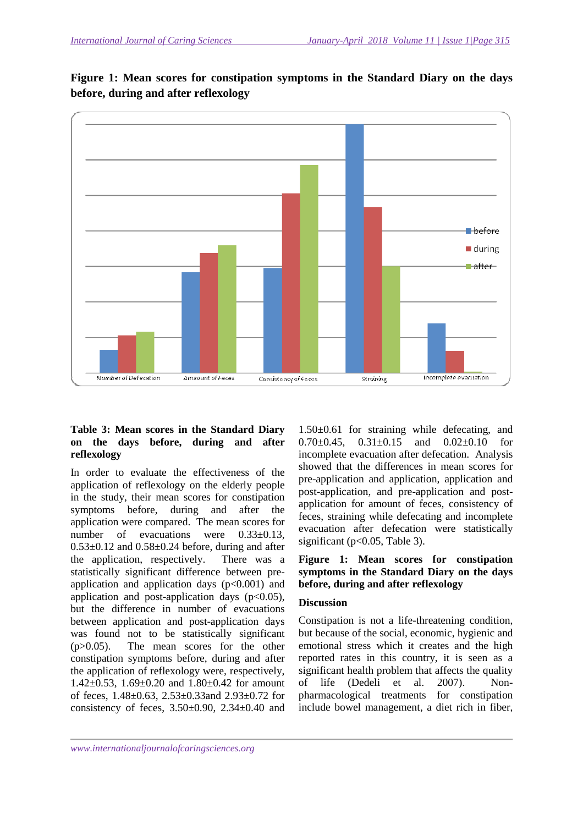

**Figure 1: Mean scores for constipation symptoms in the Standard Diary on the days before, during and after reflexology** 

# **Table 3: Mean scores in the Standard Diary on the days before, during and after reflexology**

In order to evaluate the effectiveness of the application of reflexology on the elderly people in the study, their mean scores for constipation symptoms before, during and after the application were compared. The mean scores for number of evacuations were  $0.33\pm0.13$ ,  $0.53\pm0.12$  and  $0.58\pm0.24$  before, during and after the application, respectively. There was a statistically significant difference between preapplication and application days  $(p<0.001)$  and application and post-application days  $(p<0.05)$ , but the difference in number of evacuations between application and post-application days was found not to be statistically significant (p>0.05). The mean scores for the other constipation symptoms before, during and after the application of reflexology were, respectively, 1.42±0.53, 1.69±0.20 and 1.80±0.42 for amount of feces, 1.48±0.63, 2.53±0.33and 2.93±0.72 for consistency of feces,  $3.50\pm0.90$ ,  $2.34\pm0.40$  and

1.50±0.61 for straining while defecating, and 0.70 $\pm$ 0.45, 0.31 $\pm$ 0.15 and 0.02 $\pm$ 0.10 for incomplete evacuation after defecation. Analysis showed that the differences in mean scores for pre-application and application, application and post-application, and pre-application and postapplication for amount of feces, consistency of feces, straining while defecating and incomplete evacuation after defecation were statistically significant ( $p<0.05$ , Table 3).

## **Figure 1: Mean scores for constipation symptoms in the Standard Diary on the days before, during and after reflexology**

## **Discussion**

Constipation is not a life-threatening condition, but because of the social, economic, hygienic and emotional stress which it creates and the high reported rates in this country, it is seen as a significant health problem that affects the quality of life (Dedeli et al. 2007). Nonpharmacological treatments for constipation include bowel management, a diet rich in fiber,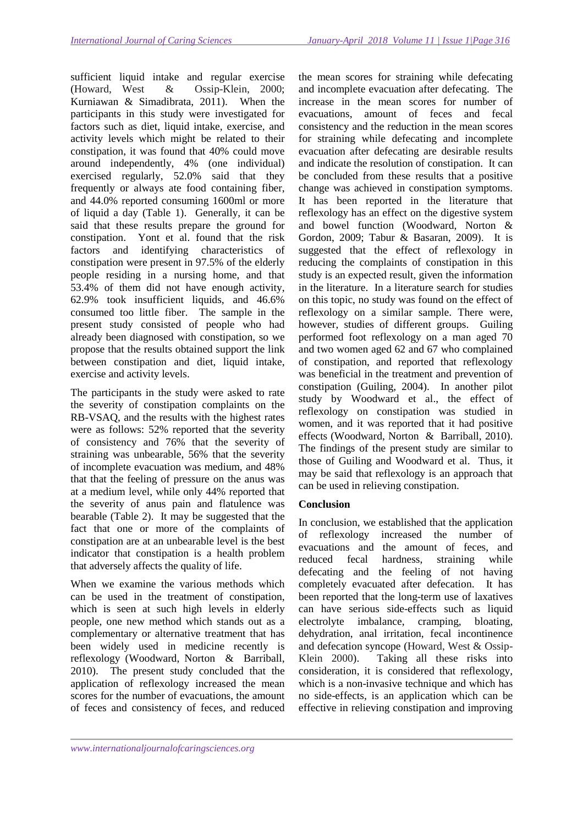sufficient liquid intake and regular exercise (Howard, West & Ossip-Klein, 2000; Kurniawan & Simadibrata, 2011). When the participants in this study were investigated for factors such as diet, liquid intake, exercise, and activity levels which might be related to their constipation, it was found that 40% could move around independently, 4% (one individual) exercised regularly, 52.0% said that they frequently or always ate food containing fiber, and 44.0% reported consuming 1600ml or more of liquid a day (Table 1). Generally, it can be said that these results prepare the ground for constipation. Yont et al. found that the risk factors and identifying characteristics of constipation were present in 97.5% of the elderly people residing in a nursing home, and that 53.4% of them did not have enough activity, 62.9% took insufficient liquids, and 46.6% consumed too little fiber. The sample in the present study consisted of people who had already been diagnosed with constipation, so we propose that the results obtained support the link between constipation and diet, liquid intake, exercise and activity levels.

The participants in the study were asked to rate the severity of constipation complaints on the RB-VSAQ, and the results with the highest rates were as follows: 52% reported that the severity of consistency and 76% that the severity of straining was unbearable, 56% that the severity of incomplete evacuation was medium, and 48% that that the feeling of pressure on the anus was at a medium level, while only 44% reported that the severity of anus pain and flatulence was bearable (Table 2). It may be suggested that the fact that one or more of the complaints of constipation are at an unbearable level is the best indicator that constipation is a health problem that adversely affects the quality of life.

When we examine the various methods which can be used in the treatment of constipation, which is seen at such high levels in elderly people, one new method which stands out as a complementary or alternative treatment that has been widely used in medicine recently is reflexology (Woodward, Norton & Barriball, 2010). The present study concluded that the application of reflexology increased the mean scores for the number of evacuations, the amount of feces and consistency of feces, and reduced

the mean scores for straining while defecating and incomplete evacuation after defecating. The increase in the mean scores for number of evacuations, amount of feces and fecal consistency and the reduction in the mean scores for straining while defecating and incomplete evacuation after defecating are desirable results and indicate the resolution of constipation. It can be concluded from these results that a positive change was achieved in constipation symptoms. It has been reported in the literature that reflexology has an effect on the digestive system and bowel function (Woodward, Norton & Gordon, 2009; Tabur & Basaran, 2009). It is suggested that the effect of reflexology in reducing the complaints of constipation in this study is an expected result, given the information in the literature. In a literature search for studies on this topic, no study was found on the effect of reflexology on a similar sample. There were, however, studies of different groups. Guiling performed foot reflexology on a man aged 70 and two women aged 62 and 67 who complained of constipation, and reported that reflexology was beneficial in the treatment and prevention of constipation (Guiling, 2004). In another pilot study by Woodward et al., the effect of reflexology on constipation was studied in women, and it was reported that it had positive effects (Woodward, Norton & Barriball, 2010). The findings of the present study are similar to those of Guiling and Woodward et al. Thus, it may be said that reflexology is an approach that can be used in relieving constipation.

# **Conclusion**

In conclusion, we established that the application of reflexology increased the number of evacuations and the amount of feces, and reduced fecal hardness, straining while defecating and the feeling of not having completely evacuated after defecation. It has been reported that the long-term use of laxatives can have serious side-effects such as liquid electrolyte imbalance, cramping, bloating, dehydration, anal irritation, fecal incontinence and defecation syncope (Howard, West & Ossip-Klein 2000). Taking all these risks into consideration, it is considered that reflexology, which is a non-invasive technique and which has no side-effects, is an application which can be effective in relieving constipation and improving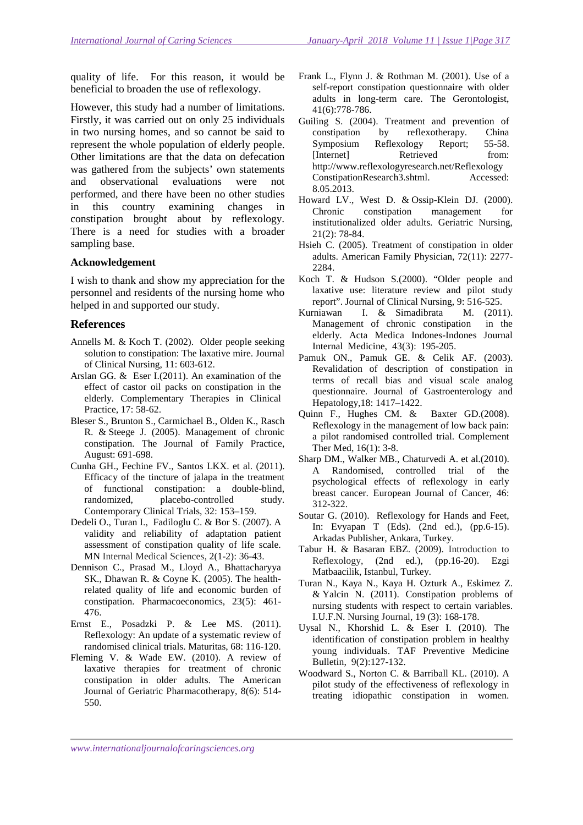quality of life. For this reason, it would be beneficial to broaden the use of reflexology.

However, this study had a number of limitations. Firstly, it was carried out on only 25 individuals in two nursing homes, and so cannot be said to represent the whole population of elderly people. Other limitations are that the data on defecation was gathered from the subjects' own statements and observational evaluations were not performed, and there have been no other studies in this country examining changes in constipation brought about by reflexology. There is a need for studies with a broader sampling base.

#### **Acknowledgement**

I wish to thank and show my appreciation for the personnel and residents of the nursing home who helped in and supported our study.

## **References**

- Annells M. & Koch T. (2002). Older people seeking solution to constipation: The laxative mire. Journal of Clinical Nursing, 11: 603-612.
- Arslan GG. & Eser I.(2011). An examination of the effect of castor oil packs on constipation in the elderly. Complementary Therapies in Clinical Practice, 17: 58-62.
- Bleser S., Brunton S., Carmichael B., Olden K., Rasch R. & Steege J. (2005). Management of chronic constipation. The Journal of Family Practice, August: 691-698.
- Cunha GH., Fechine FV., Santos LKX. et al. (2011). Efficacy of the tincture of jalapa in the treatment of functional constipation: a double-blind, randomized, placebo-controlled study. Contemporary Clinical Trials, 32: 153–159.
- Dedeli O., Turan I., Fadiloglu C. & Bor S. (2007). A validity and reliability of adaptation patient assessment of constipation quality of life scale. MN Internal Medical Sciences, 2(1-2): 36-43.
- Dennison C., Prasad M., Lloyd A., Bhattacharyya SK., Dhawan R. & Coyne K. (2005). The healthrelated quality of life and economic burden of constipation. Pharmacoeconomics, 23(5): 461- 476.
- Ernst E., Posadzki P. & Lee MS. (2011). Reflexology: An update of a systematic review of randomised clinical trials. Maturitas, 68: 116-120.
- Fleming V. & Wade EW. (2010). A review of laxative therapies for treatment of chronic constipation in older adults. The American Journal of Geriatric Pharmacotherapy, 8(6): 514- 550.
- Frank L., Flynn J. & Rothman M. (2001). Use of a self-report constipation questionnaire with older adults in long-term care. The Gerontologist, 41(6):778-786.
- Guiling S. (2004). Treatment and prevention of constipation by reflexotherapy. China Symposium Reflexology Report; 55-58. [Internet] Retrieved from: http://www.reflexologyresearch.net/Reflexology ConstipationResearch3.shtml. Accessed: 8.05.2013.
- Howard LV., West D. & Ossip-Klein DJ. (2000). Chronic constipation management for institutionalized older adults. Geriatric Nursing, 21(2): 78-84.
- Hsieh C. (2005). Treatment of constipation in older adults. American Family Physician, 72(11): 2277- 2284.
- Koch T. & Hudson S.(2000). "Older people and laxative use: literature review and pilot study report". Journal of Clinical Nursing, 9: 516-525.
- Kurniawan I. & Simadibrata M. (2011). Management of chronic constipation in the elderly. Acta Medica Indones-Indones Journal Internal Medicine, 43(3): 195-205.
- Pamuk ON., Pamuk GE. & Celik AF. (2003). Revalidation of description of constipation in terms of recall bias and visual scale analog questionnaire. Journal of Gastroenterology and Hepatology,18: 1417–1422.
- Quinn F., Hughes CM. & Baxter GD.(2008). Reflexology in the management of low back pain: a pilot randomised controlled trial. Complement Ther Med, 16(1): 3-8.
- Sharp DM., Walker MB., Chaturvedi A. et al.(2010). A Randomised, controlled trial of the psychological effects of reflexology in early breast cancer. European Journal of Cancer, 46: 312-322.
- Soutar G. (2010). Reflexology for Hands and Feet, In: Evyapan T (Eds). (2nd ed.), (pp.6-15). Arkadas Publisher, Ankara, Turkey.
- Tabur H. & Basaran EBZ. (2009). Introduction to Reflexology, (2nd ed.), (pp.16-20). Ezgi Matbaacilik, Istanbul, Turkey.
- Turan N., Kaya N., Kaya H. Ozturk A., Eskimez Z. & Yalcin N. (2011). Constipation problems of nursing students with respect to certain variables. I.U.F.N. Nursing Journal, 19 (3): 168-178.
- Uysal N., Khorshid L. & Eser I. (2010). The identification of constipation problem in healthy young individuals. TAF Preventive Medicine Bulletin, 9(2):127-132.
- Woodward S., Norton C. & Barriball KL. (2010). A pilot study of the effectiveness of reflexology in treating idiopathic constipation in women.